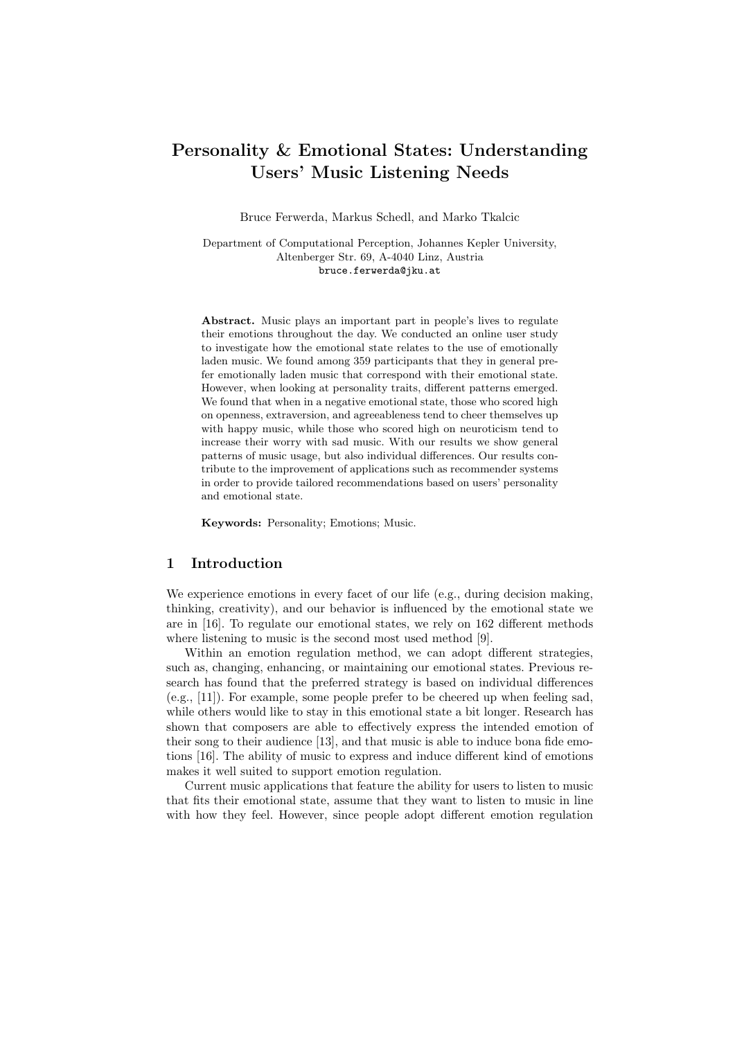# Personality & Emotional States: Understanding Users' Music Listening Needs

Bruce Ferwerda, Markus Schedl, and Marko Tkalcic

Department of Computational Perception, Johannes Kepler University, Altenberger Str. 69, A-4040 Linz, Austria bruce.ferwerda@jku.at

Abstract. Music plays an important part in people's lives to regulate their emotions throughout the day. We conducted an online user study to investigate how the emotional state relates to the use of emotionally laden music. We found among 359 participants that they in general prefer emotionally laden music that correspond with their emotional state. However, when looking at personality traits, different patterns emerged. We found that when in a negative emotional state, those who scored high on openness, extraversion, and agreeableness tend to cheer themselves up with happy music, while those who scored high on neuroticism tend to increase their worry with sad music. With our results we show general patterns of music usage, but also individual differences. Our results contribute to the improvement of applications such as recommender systems in order to provide tailored recommendations based on users' personality and emotional state.

Keywords: Personality; Emotions; Music.

#### 1 Introduction

We experience emotions in every facet of our life (e.g., during decision making, thinking, creativity), and our behavior is influenced by the emotional state we are in [16]. To regulate our emotional states, we rely on 162 different methods where listening to music is the second most used method [9].

Within an emotion regulation method, we can adopt different strategies, such as, changing, enhancing, or maintaining our emotional states. Previous research has found that the preferred strategy is based on individual differences (e.g., [11]). For example, some people prefer to be cheered up when feeling sad, while others would like to stay in this emotional state a bit longer. Research has shown that composers are able to effectively express the intended emotion of their song to their audience [13], and that music is able to induce bona fide emotions [16]. The ability of music to express and induce different kind of emotions makes it well suited to support emotion regulation.

Current music applications that feature the ability for users to listen to music that fits their emotional state, assume that they want to listen to music in line with how they feel. However, since people adopt different emotion regulation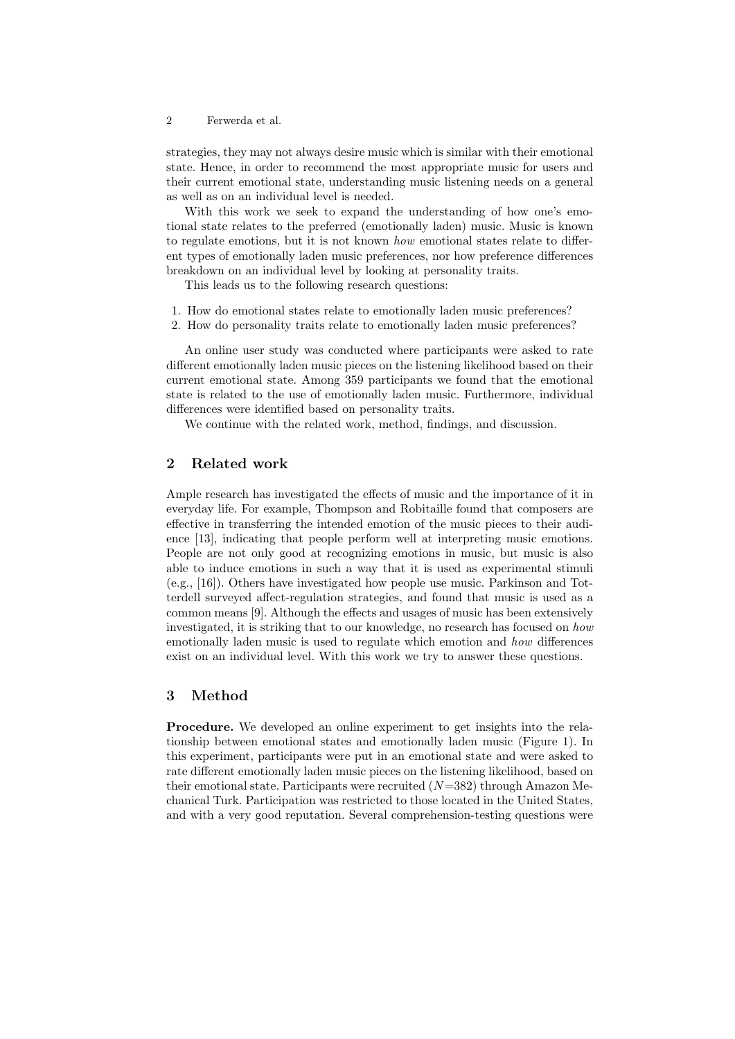#### 2 Ferwerda et al.

strategies, they may not always desire music which is similar with their emotional state. Hence, in order to recommend the most appropriate music for users and their current emotional state, understanding music listening needs on a general as well as on an individual level is needed.

With this work we seek to expand the understanding of how one's emotional state relates to the preferred (emotionally laden) music. Music is known to regulate emotions, but it is not known how emotional states relate to different types of emotionally laden music preferences, nor how preference differences breakdown on an individual level by looking at personality traits.

This leads us to the following research questions:

- 1. How do emotional states relate to emotionally laden music preferences?
- 2. How do personality traits relate to emotionally laden music preferences?

An online user study was conducted where participants were asked to rate different emotionally laden music pieces on the listening likelihood based on their current emotional state. Among 359 participants we found that the emotional state is related to the use of emotionally laden music. Furthermore, individual differences were identified based on personality traits.

We continue with the related work, method, findings, and discussion.

# 2 Related work

Ample research has investigated the effects of music and the importance of it in everyday life. For example, Thompson and Robitaille found that composers are effective in transferring the intended emotion of the music pieces to their audience [13], indicating that people perform well at interpreting music emotions. People are not only good at recognizing emotions in music, but music is also able to induce emotions in such a way that it is used as experimental stimuli (e.g., [16]). Others have investigated how people use music. Parkinson and Totterdell surveyed affect-regulation strategies, and found that music is used as a common means [9]. Although the effects and usages of music has been extensively investigated, it is striking that to our knowledge, no research has focused on how emotionally laden music is used to regulate which emotion and how differences exist on an individual level. With this work we try to answer these questions.

### 3 Method

Procedure. We developed an online experiment to get insights into the relationship between emotional states and emotionally laden music (Figure 1). In this experiment, participants were put in an emotional state and were asked to rate different emotionally laden music pieces on the listening likelihood, based on their emotional state. Participants were recruited  $(N=382)$  through Amazon Mechanical Turk. Participation was restricted to those located in the United States, and with a very good reputation. Several comprehension-testing questions were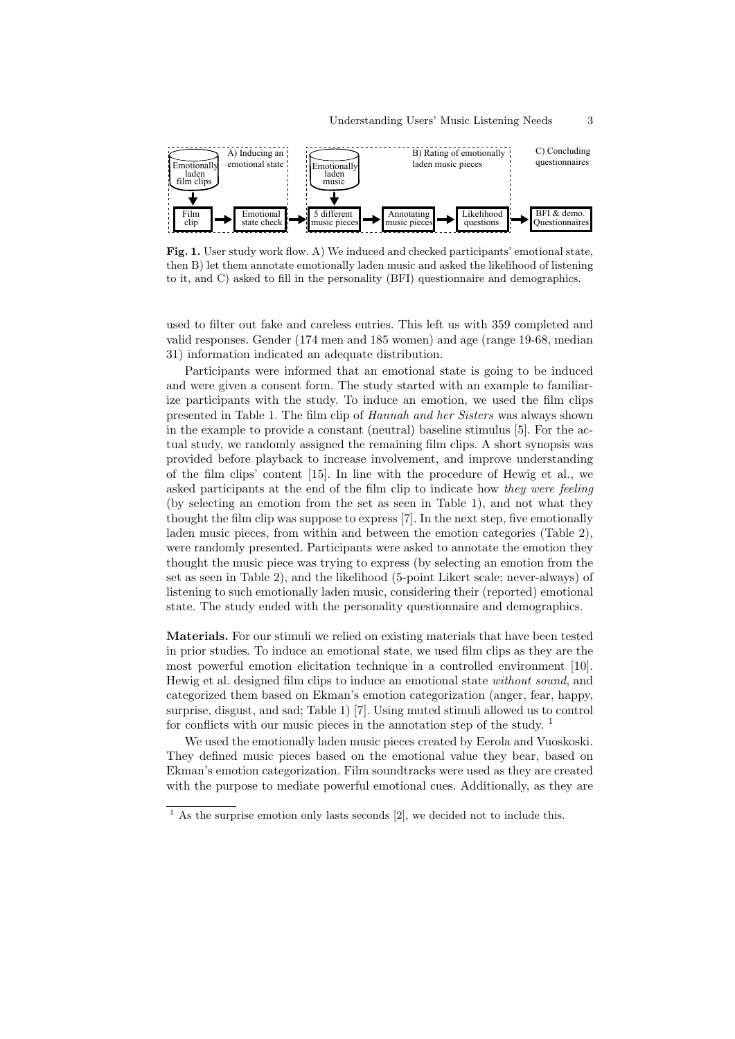

Fig. 1. User study work flow. A) We induced and checked participants' emotional state, then B) let them annotate emotionally laden music and asked the likelihood of listening to it, and C) asked to fill in the personality (BFI) questionnaire and demographics.

used to filter out fake and careless entries. This left us with 359 completed and valid responses. Gender (174 men and 185 women) and age (range 19-68, median 31) information indicated an adequate distribution.

Participants were informed that an emotional state is going to be induced and were given a consent form. The study started with an example to familiarize participants with the study. To induce an emotion, we used the film clips presented in Table 1. The film clip of Hannah and her Sisters was always shown in the example to provide a constant (neutral) baseline stimulus [5]. For the actual study, we randomly assigned the remaining film clips. A short synopsis was provided before playback to increase involvement, and improve understanding of the film clips' content [15]. In line with the procedure of Hewig et al., we asked participants at the end of the film clip to indicate how they were feeling (by selecting an emotion from the set as seen in Table 1), and not what they thought the film clip was suppose to express [7]. In the next step, five emotionally laden music pieces, from within and between the emotion categories (Table 2), were randomly presented. Participants were asked to annotate the emotion they thought the music piece was trying to express (by selecting an emotion from the set as seen in Table 2), and the likelihood (5-point Likert scale; never-always) of listening to such emotionally laden music, considering their (reported) emotional state. The study ended with the personality questionnaire and demographics.

Materials. For our stimuli we relied on existing materials that have been tested in prior studies. To induce an emotional state, we used film clips as they are the most powerful emotion elicitation technique in a controlled environment [10]. Hewig et al. designed film clips to induce an emotional state without sound, and categorized them based on Ekman's emotion categorization (anger, fear, happy, surprise, disgust, and sad; Table 1) [7]. Using muted stimuli allowed us to control for conflicts with our music pieces in the annotation step of the study.  $1$ 

We used the emotionally laden music pieces created by Eerola and Vuoskoski. They defined music pieces based on the emotional value they bear, based on Ekman's emotion categorization. Film soundtracks were used as they are created with the purpose to mediate powerful emotional cues. Additionally, as they are

 $1$  As the surprise emotion only lasts seconds [2], we decided not to include this.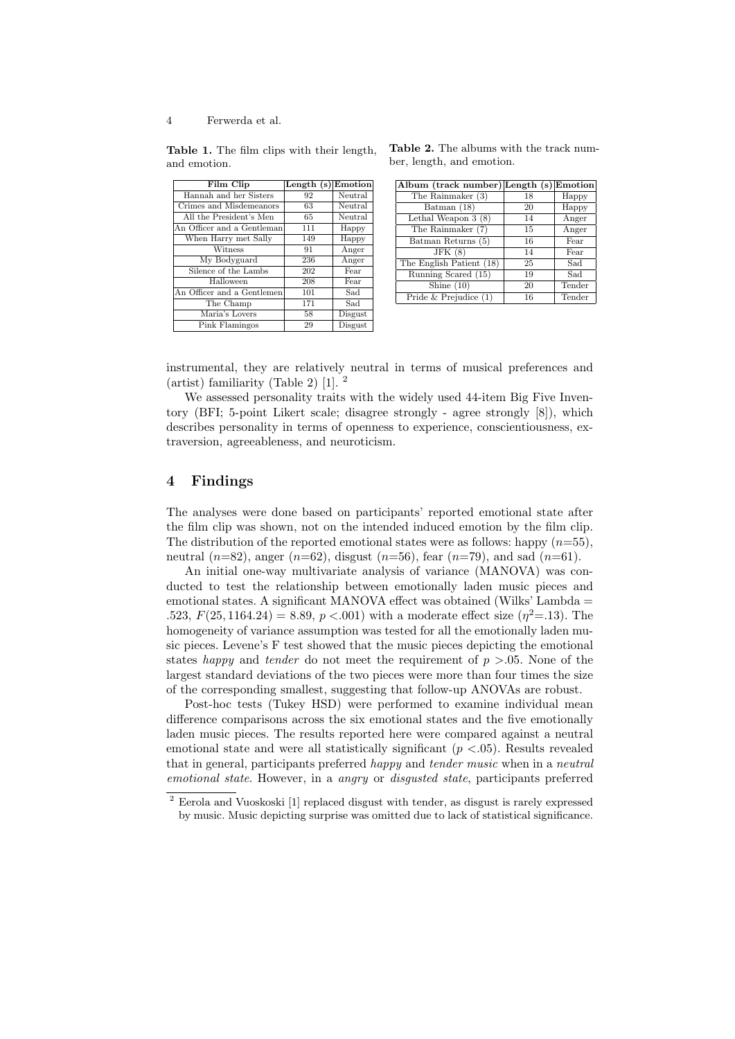4 Ferwerda et al.

Table 1. The film clips with their length, and emotion.

| Film Clip                  | Length $(s)$ | Emotion |
|----------------------------|--------------|---------|
| Hannah and her Sisters     | 92           | Neutral |
| Crimes and Misdemeanors    | 63           | Neutral |
| All the President's Men    | 65           | Neutral |
| An Officer and a Gentleman | 111          | Happy   |
| When Harry met Sally       | 149          | Happy   |
| Witness                    | 91           | Anger   |
| My Bodyguard               | 236          | Anger   |
| Silence of the Lambs       | 202          | Fear    |
| Halloween                  | 208          | Fear    |
| An Officer and a Gentlemen | 101          | Sad     |
| The Champ                  | 171          | Sad     |
| Maria's Lovers             | 58           | Disgust |
| Pink Flamingos             | 29           | Disgust |

Table 2. The albums with the track number, length, and emotion.

| Album (track number) Length (s) Emotion  |    |        |
|------------------------------------------|----|--------|
| The Rainmaker (3)                        | 18 | Happy  |
| Batman (18)                              | 20 | Happy  |
| Lethal Weapon $3(8)$                     | 14 | Anger  |
| The Rainmaker (7)                        | 15 | Anger  |
| Batman Returns (5)                       | 16 | Fear   |
| JFK(8)                                   | 14 | Fear   |
| The English Patient (18)                 | 25 | Sad    |
| $\overline{\text{Runningm}}$ Scared (15) | 19 | Sad    |
| Shine $(10)$                             | 20 | Tender |
| Pride $&$ Prejudice $(1)$                | 16 | Tender |

instrumental, they are relatively neutral in terms of musical preferences and (artist) familiarity (Table 2) [1]. <sup>2</sup>

We assessed personality traits with the widely used 44-item Big Five Inventory (BFI; 5-point Likert scale; disagree strongly - agree strongly [8]), which describes personality in terms of openness to experience, conscientiousness, extraversion, agreeableness, and neuroticism.

# 4 Findings

The analyses were done based on participants' reported emotional state after the film clip was shown, not on the intended induced emotion by the film clip. The distribution of the reported emotional states were as follows: happy  $(n=55)$ , neutral  $(n=82)$ , anger  $(n=62)$ , disgust  $(n=56)$ , fear  $(n=79)$ , and sad  $(n=61)$ .

An initial one-way multivariate analysis of variance (MANOVA) was conducted to test the relationship between emotionally laden music pieces and emotional states. A significant MANOVA effect was obtained (Wilks' Lambda  $=$ .523,  $F(25, 1164.24) = 8.89, p < .001$  with a moderate effect size  $(\eta^2 = .13)$ . The homogeneity of variance assumption was tested for all the emotionally laden music pieces. Levene's F test showed that the music pieces depicting the emotional states happy and tender do not meet the requirement of  $p > .05$ . None of the largest standard deviations of the two pieces were more than four times the size of the corresponding smallest, suggesting that follow-up ANOVAs are robust.

Post-hoc tests (Tukey HSD) were performed to examine individual mean difference comparisons across the six emotional states and the five emotionally laden music pieces. The results reported here were compared against a neutral emotional state and were all statistically significant  $(p < .05)$ . Results revealed that in general, participants preferred happy and tender music when in a neutral emotional state. However, in a angry or disgusted state, participants preferred

<sup>2</sup> Eerola and Vuoskoski [1] replaced disgust with tender, as disgust is rarely expressed by music. Music depicting surprise was omitted due to lack of statistical significance.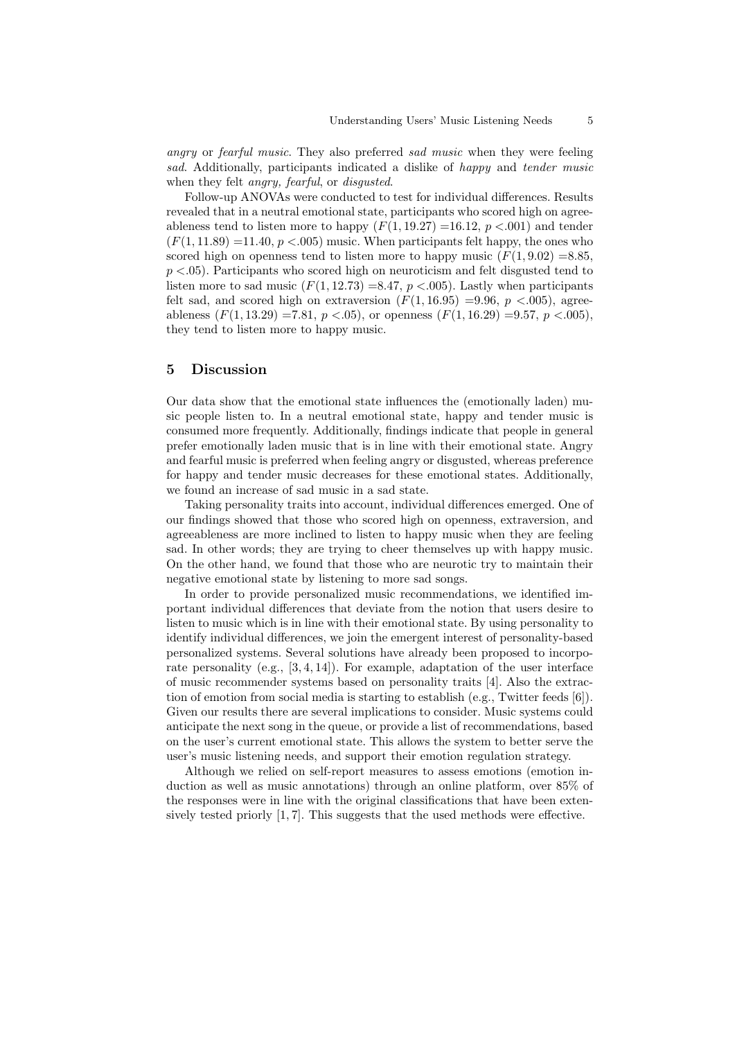angry or fearful music. They also preferred sad music when they were feeling sad. Additionally, participants indicated a dislike of happy and tender music when they felt *angry*, *fearful*, or *disgusted*.

Follow-up ANOVAs were conducted to test for individual differences. Results revealed that in a neutral emotional state, participants who scored high on agreeableness tend to listen more to happy  $(F(1, 19.27) = 16.12, p < .001)$  and tender  $(F(1, 11.89) = 11.40, p < .005)$  music. When participants felt happy, the ones who scored high on openness tend to listen more to happy music  $(F(1, 9.02) = 8.85$ .  $p < .05$ ). Participants who scored high on neuroticism and felt disgusted tend to listen more to sad music  $(F(1, 12.73) = 8.47, p < .005)$ . Lastly when participants felt sad, and scored high on extraversion  $(F(1, 16.95) = 9.96, p < .005)$ , agreeableness  $(F(1, 13.29) = 7.81, p < .05)$ , or openness  $(F(1, 16.29) = 9.57, p < .005)$ , they tend to listen more to happy music.

### 5 Discussion

Our data show that the emotional state influences the (emotionally laden) music people listen to. In a neutral emotional state, happy and tender music is consumed more frequently. Additionally, findings indicate that people in general prefer emotionally laden music that is in line with their emotional state. Angry and fearful music is preferred when feeling angry or disgusted, whereas preference for happy and tender music decreases for these emotional states. Additionally, we found an increase of sad music in a sad state.

Taking personality traits into account, individual differences emerged. One of our findings showed that those who scored high on openness, extraversion, and agreeableness are more inclined to listen to happy music when they are feeling sad. In other words; they are trying to cheer themselves up with happy music. On the other hand, we found that those who are neurotic try to maintain their negative emotional state by listening to more sad songs.

In order to provide personalized music recommendations, we identified important individual differences that deviate from the notion that users desire to listen to music which is in line with their emotional state. By using personality to identify individual differences, we join the emergent interest of personality-based personalized systems. Several solutions have already been proposed to incorporate personality (e.g., [3, 4, 14]). For example, adaptation of the user interface of music recommender systems based on personality traits [4]. Also the extraction of emotion from social media is starting to establish (e.g., Twitter feeds [6]). Given our results there are several implications to consider. Music systems could anticipate the next song in the queue, or provide a list of recommendations, based on the user's current emotional state. This allows the system to better serve the user's music listening needs, and support their emotion regulation strategy.

Although we relied on self-report measures to assess emotions (emotion induction as well as music annotations) through an online platform, over 85% of the responses were in line with the original classifications that have been extensively tested priorly [1, 7]. This suggests that the used methods were effective.